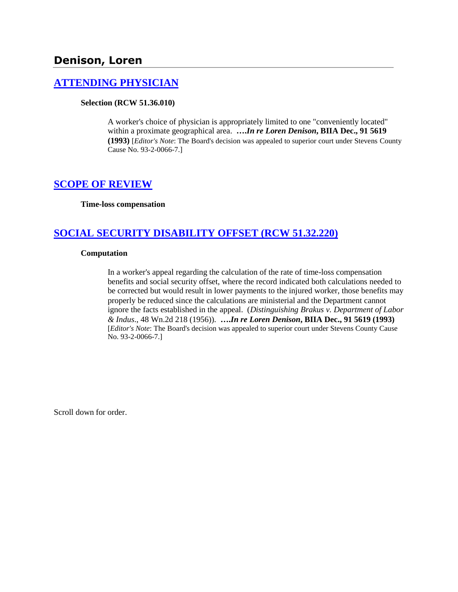# **Denison, Loren**

## **[ATTENDING PHYSICIAN](http://www.biia.wa.gov/SDSubjectIndex.html#ATTENDING_PHYSICIAN)**

#### **Selection (RCW 51.36.010)**

A worker's choice of physician is appropriately limited to one "conveniently located" within a proximate geographical area. **….***In re Loren Denison***, BIIA Dec., 91 5619 (1993)** [*Editor's Note*: The Board's decision was appealed to superior court under Stevens County Cause No. 93-2-0066-7.]

### **[SCOPE OF REVIEW](http://www.biia.wa.gov/SDSubjectIndex.html#SCOPE_OF_REVIEW)**

**Time-loss compensation**

# **SOCIAL [SECURITY DISABILITY OFFSET \(RCW 51.32.220\)](http://www.biia.wa.gov/SDSubjectIndex.html#SOCIAL_SECURITY_DISABILITY_OFFSET)**

#### **Computation**

In a worker's appeal regarding the calculation of the rate of time-loss compensation benefits and social security offset, where the record indicated both calculations needed to be corrected but would result in lower payments to the injured worker, those benefits may properly be reduced since the calculations are ministerial and the Department cannot ignore the facts established in the appeal. (*Distinguishing Brakus v. Department of Labor & Indus*., 48 Wn.2d 218 (1956)). **….***In re Loren Denison***, BIIA Dec., 91 5619 (1993)**  [*Editor's Note*: The Board's decision was appealed to superior court under Stevens County Cause No. 93-2-0066-7.]

Scroll down for order.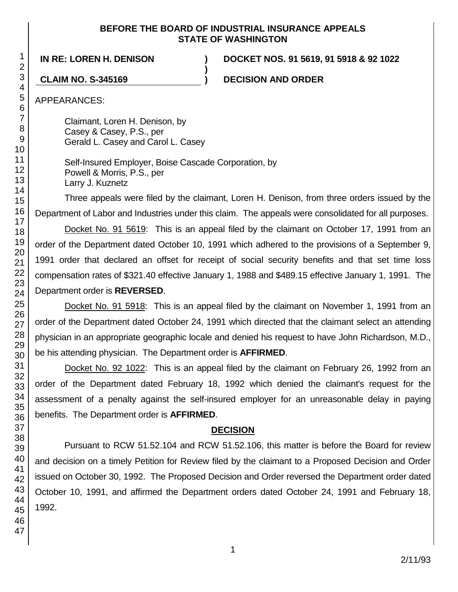### **BEFORE THE BOARD OF INDUSTRIAL INSURANCE APPEALS STATE OF WASHINGTON**

**)**

**IN RE: LOREN H. DENISON ) DOCKET NOS. 91 5619, 91 5918 & 92 1022**

**CLAIM NO. S-345169 ) DECISION AND ORDER**

APPEARANCES:

Claimant, Loren H. Denison, by Casey & Casey, P.S., per Gerald L. Casey and Carol L. Casey

Self-Insured Employer, Boise Cascade Corporation, by Powell & Morris, P.S., per Larry J. Kuznetz

Three appeals were filed by the claimant, Loren H. Denison, from three orders issued by the Department of Labor and Industries under this claim. The appeals were consolidated for all purposes.

Docket No. 91 5619: This is an appeal filed by the claimant on October 17, 1991 from an order of the Department dated October 10, 1991 which adhered to the provisions of a September 9, 1991 order that declared an offset for receipt of social security benefits and that set time loss compensation rates of \$321.40 effective January 1, 1988 and \$489.15 effective January 1, 1991. The Department order is **REVERSED**.

Docket No. 91 5918: This is an appeal filed by the claimant on November 1, 1991 from an order of the Department dated October 24, 1991 which directed that the claimant select an attending physician in an appropriate geographic locale and denied his request to have John Richardson, M.D., be his attending physician. The Department order is **AFFIRMED**.

Docket No. 92 1022: This is an appeal filed by the claimant on February 26, 1992 from an order of the Department dated February 18, 1992 which denied the claimant's request for the assessment of a penalty against the self-insured employer for an unreasonable delay in paying benefits. The Department order is **AFFIRMED**.

# **DECISION**

Pursuant to RCW 51.52.104 and RCW 51.52.106, this matter is before the Board for review and decision on a timely Petition for Review filed by the claimant to a Proposed Decision and Order issued on October 30, 1992. The Proposed Decision and Order reversed the Department order dated October 10, 1991, and affirmed the Department orders dated October 24, 1991 and February 18, 1992.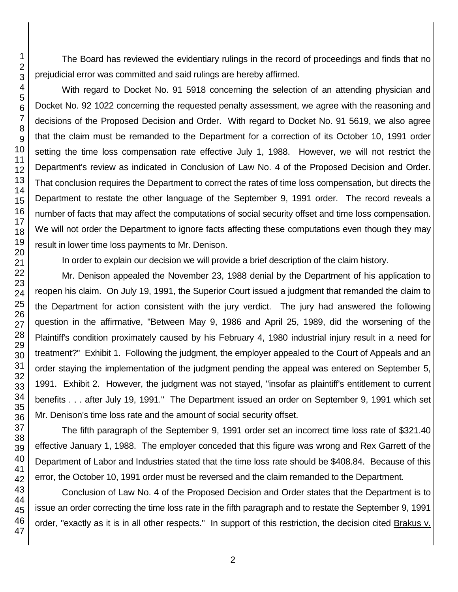The Board has reviewed the evidentiary rulings in the record of proceedings and finds that no prejudicial error was committed and said rulings are hereby affirmed.

With regard to Docket No. 91 5918 concerning the selection of an attending physician and Docket No. 92 1022 concerning the requested penalty assessment, we agree with the reasoning and decisions of the Proposed Decision and Order. With regard to Docket No. 91 5619, we also agree that the claim must be remanded to the Department for a correction of its October 10, 1991 order setting the time loss compensation rate effective July 1, 1988. However, we will not restrict the Department's review as indicated in Conclusion of Law No. 4 of the Proposed Decision and Order. That conclusion requires the Department to correct the rates of time loss compensation, but directs the Department to restate the other language of the September 9, 1991 order. The record reveals a number of facts that may affect the computations of social security offset and time loss compensation. We will not order the Department to ignore facts affecting these computations even though they may result in lower time loss payments to Mr. Denison.

In order to explain our decision we will provide a brief description of the claim history.

Mr. Denison appealed the November 23, 1988 denial by the Department of his application to reopen his claim. On July 19, 1991, the Superior Court issued a judgment that remanded the claim to the Department for action consistent with the jury verdict. The jury had answered the following question in the affirmative, "Between May 9, 1986 and April 25, 1989, did the worsening of the Plaintiff's condition proximately caused by his February 4, 1980 industrial injury result in a need for treatment?" Exhibit 1. Following the judgment, the employer appealed to the Court of Appeals and an order staying the implementation of the judgment pending the appeal was entered on September 5, 1991. Exhibit 2. However, the judgment was not stayed, "insofar as plaintiff's entitlement to current benefits . . . after July 19, 1991." The Department issued an order on September 9, 1991 which set Mr. Denison's time loss rate and the amount of social security offset.

The fifth paragraph of the September 9, 1991 order set an incorrect time loss rate of \$321.40 effective January 1, 1988. The employer conceded that this figure was wrong and Rex Garrett of the Department of Labor and Industries stated that the time loss rate should be \$408.84. Because of this error, the October 10, 1991 order must be reversed and the claim remanded to the Department.

Conclusion of Law No. 4 of the Proposed Decision and Order states that the Department is to issue an order correcting the time loss rate in the fifth paragraph and to restate the September 9, 1991 order, "exactly as it is in all other respects." In support of this restriction, the decision cited Brakus v.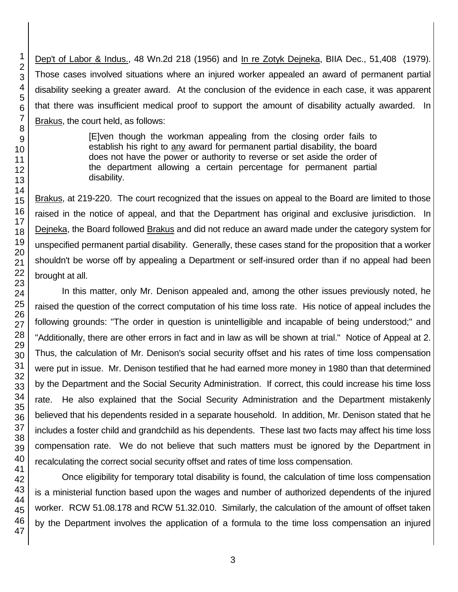Dep't of Labor & Indus., 48 Wn.2d 218 (1956) and In re Zotyk Dejneka, BIIA Dec., 51,408 (1979). Those cases involved situations where an injured worker appealed an award of permanent partial disability seeking a greater award. At the conclusion of the evidence in each case, it was apparent that there was insufficient medical proof to support the amount of disability actually awarded. In Brakus, the court held, as follows:

> [E]ven though the workman appealing from the closing order fails to establish his right to any award for permanent partial disability, the board does not have the power or authority to reverse or set aside the order of the department allowing a certain percentage for permanent partial disability.

Brakus, at 219-220. The court recognized that the issues on appeal to the Board are limited to those raised in the notice of appeal, and that the Department has original and exclusive jurisdiction. In Dejneka, the Board followed Brakus and did not reduce an award made under the category system for unspecified permanent partial disability. Generally, these cases stand for the proposition that a worker shouldn't be worse off by appealing a Department or self-insured order than if no appeal had been brought at all.

In this matter, only Mr. Denison appealed and, among the other issues previously noted, he raised the question of the correct computation of his time loss rate. His notice of appeal includes the following grounds: "The order in question is unintelligible and incapable of being understood;" and "Additionally, there are other errors in fact and in law as will be shown at trial." Notice of Appeal at 2. Thus, the calculation of Mr. Denison's social security offset and his rates of time loss compensation were put in issue. Mr. Denison testified that he had earned more money in 1980 than that determined by the Department and the Social Security Administration. If correct, this could increase his time loss rate. He also explained that the Social Security Administration and the Department mistakenly believed that his dependents resided in a separate household. In addition, Mr. Denison stated that he includes a foster child and grandchild as his dependents. These last two facts may affect his time loss compensation rate. We do not believe that such matters must be ignored by the Department in recalculating the correct social security offset and rates of time loss compensation.

Once eligibility for temporary total disability is found, the calculation of time loss compensation is a ministerial function based upon the wages and number of authorized dependents of the injured worker. RCW 51.08.178 and RCW 51.32.010. Similarly, the calculation of the amount of offset taken by the Department involves the application of a formula to the time loss compensation an injured

3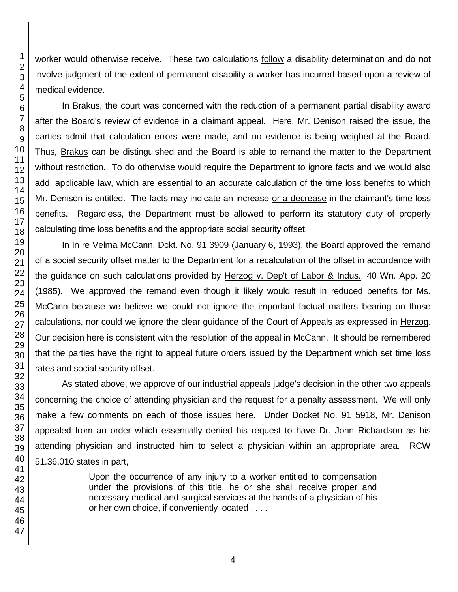worker would otherwise receive. These two calculations follow a disability determination and do not involve judgment of the extent of permanent disability a worker has incurred based upon a review of medical evidence.

In Brakus, the court was concerned with the reduction of a permanent partial disability award after the Board's review of evidence in a claimant appeal. Here, Mr. Denison raised the issue, the parties admit that calculation errors were made, and no evidence is being weighed at the Board. Thus, Brakus can be distinguished and the Board is able to remand the matter to the Department without restriction. To do otherwise would require the Department to ignore facts and we would also add, applicable law, which are essential to an accurate calculation of the time loss benefits to which Mr. Denison is entitled. The facts may indicate an increase or a decrease in the claimant's time loss benefits. Regardless, the Department must be allowed to perform its statutory duty of properly calculating time loss benefits and the appropriate social security offset.

In In re Velma McCann, Dckt. No. 91 3909 (January 6, 1993), the Board approved the remand of a social security offset matter to the Department for a recalculation of the offset in accordance with the guidance on such calculations provided by Herzog v. Dep't of Labor & Indus., 40 Wn. App. 20 (1985). We approved the remand even though it likely would result in reduced benefits for Ms. McCann because we believe we could not ignore the important factual matters bearing on those calculations, nor could we ignore the clear guidance of the Court of Appeals as expressed in Herzog. Our decision here is consistent with the resolution of the appeal in McCann. It should be remembered that the parties have the right to appeal future orders issued by the Department which set time loss rates and social security offset.

As stated above, we approve of our industrial appeals judge's decision in the other two appeals concerning the choice of attending physician and the request for a penalty assessment. We will only make a few comments on each of those issues here. Under Docket No. 91 5918, Mr. Denison appealed from an order which essentially denied his request to have Dr. John Richardson as his attending physician and instructed him to select a physician within an appropriate area. RCW 51.36.010 states in part,

> Upon the occurrence of any injury to a worker entitled to compensation under the provisions of this title, he or she shall receive proper and necessary medical and surgical services at the hands of a physician of his or her own choice, if conveniently located . . . .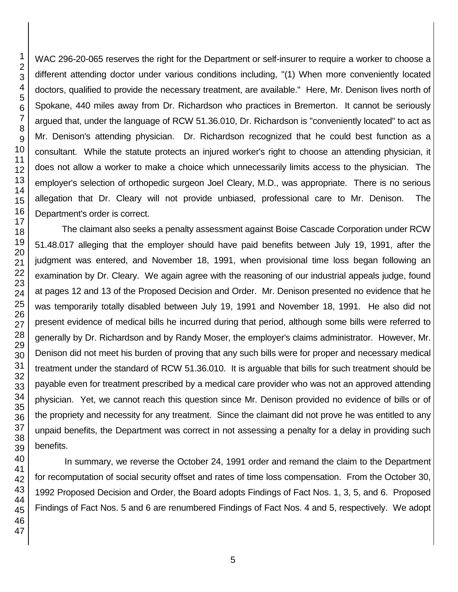WAC 296-20-065 reserves the right for the Department or self-insurer to require a worker to choose a different attending doctor under various conditions including, "(1) When more conveniently located doctors, qualified to provide the necessary treatment, are available." Here, Mr. Denison lives north of Spokane, 440 miles away from Dr. Richardson who practices in Bremerton. It cannot be seriously argued that, under the language of RCW 51.36.010, Dr. Richardson is "conveniently located" to act as Mr. Denison's attending physician. Dr. Richardson recognized that he could best function as a consultant. While the statute protects an injured worker's right to choose an attending physician, it does not allow a worker to make a choice which unnecessarily limits access to the physician. The employer's selection of orthopedic surgeon Joel Cleary, M.D., was appropriate. There is no serious allegation that Dr. Cleary will not provide unbiased, professional care to Mr. Denison. The Department's order is correct.

The claimant also seeks a penalty assessment against Boise Cascade Corporation under RCW 51.48.017 alleging that the employer should have paid benefits between July 19, 1991, after the judgment was entered, and November 18, 1991, when provisional time loss began following an examination by Dr. Cleary. We again agree with the reasoning of our industrial appeals judge, found at pages 12 and 13 of the Proposed Decision and Order. Mr. Denison presented no evidence that he was temporarily totally disabled between July 19, 1991 and November 18, 1991. He also did not present evidence of medical bills he incurred during that period, although some bills were referred to generally by Dr. Richardson and by Randy Moser, the employer's claims administrator. However, Mr. Denison did not meet his burden of proving that any such bills were for proper and necessary medical treatment under the standard of RCW 51.36.010. It is arguable that bills for such treatment should be payable even for treatment prescribed by a medical care provider who was not an approved attending physician. Yet, we cannot reach this question since Mr. Denison provided no evidence of bills or of the propriety and necessity for any treatment. Since the claimant did not prove he was entitled to any unpaid benefits, the Department was correct in not assessing a penalty for a delay in providing such

In summary, we reverse the October 24, 1991 order and remand the claim to the Department for recomputation of social security offset and rates of time loss compensation. From the October 30, 1992 Proposed Decision and Order, the Board adopts Findings of Fact Nos. 1, 3, 5, and 6. Proposed Findings of Fact Nos. 5 and 6 are renumbered Findings of Fact Nos. 4 and 5, respectively. We adopt